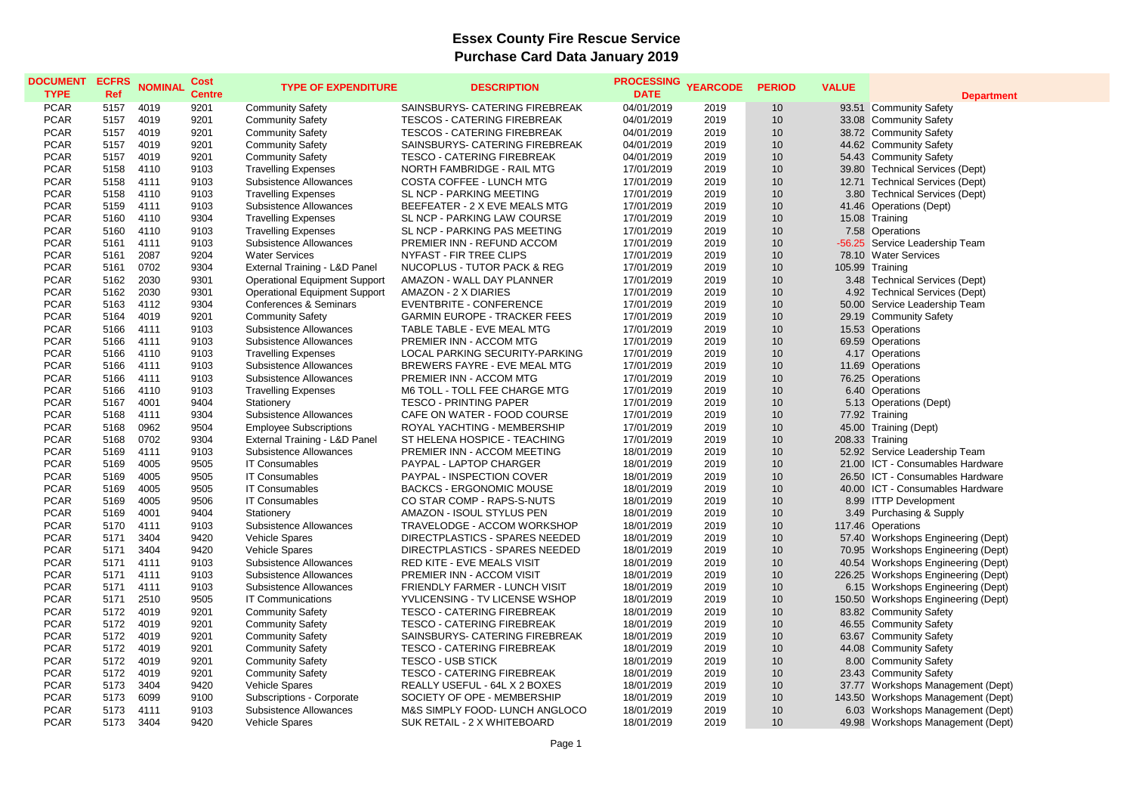## **Essex County Fire Rescue Service Purchase Card Data January 2019**

| <b>DOCUMENT</b><br><b>TYPE</b> | <b>ECFRS</b><br>Ref | <b>NOMINAL</b> | Cost<br><b>Centre</b> | <b>TYPE OF EXPENDITURE</b>           | <b>DESCRIPTION</b>                  | <b>PROCESSING</b><br><b>DATE</b> | <b>YEARCODE</b> | <b>PERIOD</b> | <b>VALUE</b> | <b>Department</b>                   |
|--------------------------------|---------------------|----------------|-----------------------|--------------------------------------|-------------------------------------|----------------------------------|-----------------|---------------|--------------|-------------------------------------|
| <b>PCAR</b>                    | 5157                | 4019           | 9201                  | <b>Community Safety</b>              | SAINSBURYS- CATERING FIREBREAK      | 04/01/2019                       | 2019            | 10            |              | 93.51 Community Safety              |
| <b>PCAR</b>                    | 5157                | 4019           | 9201                  | <b>Community Safety</b>              | <b>TESCOS - CATERING FIREBREAK</b>  | 04/01/2019                       | 2019            | 10            |              | 33.08 Community Safety              |
| <b>PCAR</b>                    | 5157                | 4019           | 9201                  | <b>Community Safety</b>              | <b>TESCOS - CATERING FIREBREAK</b>  | 04/01/2019                       | 2019            | 10            |              | 38.72 Community Safety              |
| <b>PCAR</b>                    | 5157                | 4019           | 9201                  | <b>Community Safety</b>              | SAINSBURYS- CATERING FIREBREAK      | 04/01/2019                       | 2019            | 10            |              | 44.62 Community Safety              |
| <b>PCAR</b>                    | 5157                | 4019           | 9201                  | <b>Community Safety</b>              | <b>TESCO - CATERING FIREBREAK</b>   | 04/01/2019                       | 2019            | 10            |              | 54.43 Community Safety              |
| <b>PCAR</b>                    | 5158                | 4110           | 9103                  | <b>Travelling Expenses</b>           | NORTH FAMBRIDGE - RAIL MTG          | 17/01/2019                       | 2019            | 10            |              | 39.80 Technical Services (Dept)     |
| <b>PCAR</b>                    | 5158                | 4111           | 9103                  | Subsistence Allowances               | COSTA COFFEE - LUNCH MTG            | 17/01/2019                       | 2019            | 10            |              | 12.71 Technical Services (Dept)     |
| <b>PCAR</b>                    | 5158                | 4110           | 9103                  | <b>Travelling Expenses</b>           | SL NCP - PARKING MEETING            | 17/01/2019                       | 2019            | 10            |              | 3.80 Technical Services (Dept)      |
| <b>PCAR</b>                    | 5159                | 4111           | 9103                  | <b>Subsistence Allowances</b>        | BEEFEATER - 2 X EVE MEALS MTG       | 17/01/2019                       | 2019            | 10            |              | 41.46 Operations (Dept)             |
| <b>PCAR</b>                    | 5160                | 4110           | 9304                  | <b>Travelling Expenses</b>           | SL NCP - PARKING LAW COURSE         | 17/01/2019                       | 2019            | 10            |              | 15.08 Training                      |
| <b>PCAR</b>                    | 5160                | 4110           | 9103                  | <b>Travelling Expenses</b>           | SL NCP - PARKING PAS MEETING        | 17/01/2019                       | 2019            | 10            |              | 7.58 Operations                     |
| <b>PCAR</b>                    | 5161                | 4111           | 9103                  | Subsistence Allowances               | PREMIER INN - REFUND ACCOM          | 17/01/2019                       | 2019            | 10            |              | -56.25 Service Leadership Team      |
| <b>PCAR</b>                    | 5161                | 2087           | 9204                  | <b>Water Services</b>                | NYFAST - FIR TREE CLIPS             | 17/01/2019                       | 2019            | 10            |              | 78.10 Water Services                |
| <b>PCAR</b>                    | 5161                | 0702           | 9304                  | External Training - L&D Panel        | NUCOPLUS - TUTOR PACK & REG         | 17/01/2019                       | 2019            | 10            |              | 105.99 Training                     |
| <b>PCAR</b>                    | 5162                | 2030           | 9301                  | <b>Operational Equipment Support</b> | AMAZON - WALL DAY PLANNER           | 17/01/2019                       | 2019            | 10            |              | 3.48 Technical Services (Dept)      |
| <b>PCAR</b>                    | 5162                | 2030           | 9301                  | <b>Operational Equipment Support</b> | AMAZON - 2 X DIARIES                | 17/01/2019                       | 2019            | 10            |              | 4.92 Technical Services (Dept)      |
| <b>PCAR</b>                    | 5163                | 4112           | 9304                  | Conferences & Seminars               | <b>EVENTBRITE - CONFERENCE</b>      | 17/01/2019                       | 2019            | 10            |              | 50.00 Service Leadership Team       |
| <b>PCAR</b>                    | 5164                | 4019           | 9201                  | <b>Community Safety</b>              | <b>GARMIN EUROPE - TRACKER FEES</b> | 17/01/2019                       | 2019            | 10            |              | 29.19 Community Safety              |
| <b>PCAR</b>                    | 5166                | 4111           | 9103                  | Subsistence Allowances               | TABLE TABLE - EVE MEAL MTG          | 17/01/2019                       | 2019            | 10            |              | 15.53 Operations                    |
| <b>PCAR</b>                    | 5166                | 4111           | 9103                  | Subsistence Allowances               | PREMIER INN - ACCOM MTG             | 17/01/2019                       | 2019            | 10            |              | 69.59 Operations                    |
| <b>PCAR</b>                    | 5166                | 4110           | 9103                  | <b>Travelling Expenses</b>           | LOCAL PARKING SECURITY-PARKING      | 17/01/2019                       | 2019            | 10            |              | 4.17 Operations                     |
| <b>PCAR</b>                    | 5166                | 4111           | 9103                  | Subsistence Allowances               | BREWERS FAYRE - EVE MEAL MTG        | 17/01/2019                       | 2019            | 10            |              | 11.69 Operations                    |
| <b>PCAR</b>                    | 5166                | 4111           | 9103                  | Subsistence Allowances               | PREMIER INN - ACCOM MTG             | 17/01/2019                       | 2019            | 10            |              | 76.25 Operations                    |
| <b>PCAR</b>                    | 5166                | 4110           | 9103                  | <b>Travelling Expenses</b>           | M6 TOLL - TOLL FEE CHARGE MTG       | 17/01/2019                       | 2019            | 10            |              | 6.40 Operations                     |
| <b>PCAR</b>                    | 5167                | 4001           | 9404                  | Stationery                           | <b>TESCO - PRINTING PAPER</b>       | 17/01/2019                       | 2019            | 10            |              | 5.13 Operations (Dept)              |
| <b>PCAR</b>                    | 5168                | 4111           | 9304                  | <b>Subsistence Allowances</b>        | CAFE ON WATER - FOOD COURSE         | 17/01/2019                       | 2019            | 10            |              | 77.92 Training                      |
| <b>PCAR</b>                    | 5168                | 0962           | 9504                  | <b>Employee Subscriptions</b>        | ROYAL YACHTING - MEMBERSHIP         | 17/01/2019                       | 2019            | 10            |              | 45.00 Training (Dept)               |
| <b>PCAR</b>                    | 5168                | 0702           | 9304                  | External Training - L&D Panel        | ST HELENA HOSPICE - TEACHING        | 17/01/2019                       | 2019            | 10            |              | 208.33 Training                     |
| <b>PCAR</b>                    | 5169                | 4111           | 9103                  | Subsistence Allowances               | PREMIER INN - ACCOM MEETING         | 18/01/2019                       | 2019            | 10            |              | 52.92 Service Leadership Team       |
| <b>PCAR</b>                    | 5169                | 4005           | 9505                  | <b>IT Consumables</b>                | PAYPAL - LAPTOP CHARGER             | 18/01/2019                       | 2019            | 10            |              | 21.00 ICT - Consumables Hardware    |
| <b>PCAR</b>                    | 5169                | 4005           | 9505                  | <b>IT Consumables</b>                | PAYPAL - INSPECTION COVER           | 18/01/2019                       | 2019            | 10            |              | 26.50 ICT - Consumables Hardware    |
| <b>PCAR</b>                    | 5169                | 4005           | 9505                  | <b>IT Consumables</b>                | <b>BACKCS - ERGONOMIC MOUSE</b>     | 18/01/2019                       | 2019            | 10            |              | 40.00 ICT - Consumables Hardware    |
| <b>PCAR</b>                    | 5169                | 4005           | 9506                  | <b>IT Consumables</b>                | CO STAR COMP - RAPS-S-NUTS          | 18/01/2019                       | 2019            | 10            |              | 8.99 ITTP Development               |
| <b>PCAR</b>                    | 5169                | 4001           | 9404                  | Stationery                           | AMAZON - ISOUL STYLUS PEN           | 18/01/2019                       | 2019            | 10            |              | 3.49 Purchasing & Supply            |
| <b>PCAR</b>                    | 5170                | 4111           | 9103                  | Subsistence Allowances               | TRAVELODGE - ACCOM WORKSHOP         | 18/01/2019                       | 2019            | 10            |              | 117.46 Operations                   |
| <b>PCAR</b>                    | 5171                | 3404           | 9420                  | <b>Vehicle Spares</b>                | DIRECTPLASTICS - SPARES NEEDED      | 18/01/2019                       | 2019            | 10            |              | 57.40 Workshops Engineering (Dept)  |
| <b>PCAR</b>                    | 5171                | 3404           | 9420                  | Vehicle Spares                       | DIRECTPLASTICS - SPARES NEEDED      | 18/01/2019                       | 2019            | 10            |              | 70.95 Workshops Engineering (Dept)  |
| <b>PCAR</b>                    | 5171                | 4111           | 9103                  | Subsistence Allowances               | RED KITE - EVE MEALS VISIT          | 18/01/2019                       | 2019            | 10            |              | 40.54 Workshops Engineering (Dept)  |
| <b>PCAR</b>                    | 5171                | 4111           | 9103                  | Subsistence Allowances               | PREMIER INN - ACCOM VISIT           | 18/01/2019                       | 2019            | 10            |              | 226.25 Workshops Engineering (Dept) |
| <b>PCAR</b>                    | 5171                | 4111           | 9103                  | Subsistence Allowances               | FRIENDLY FARMER - LUNCH VISIT       | 18/01/2019                       | 2019            | 10            |              | 6.15 Workshops Engineering (Dept)   |
| <b>PCAR</b>                    | 5171                | 2510           | 9505                  | <b>IT Communications</b>             | YVLICENSING - TV LICENSE WSHOP      | 18/01/2019                       | 2019            | 10            |              | 150.50 Workshops Engineering (Dept) |
| <b>PCAR</b>                    | 5172                | 4019           | 9201                  | <b>Community Safety</b>              | <b>TESCO - CATERING FIREBREAK</b>   | 18/01/2019                       | 2019            | 10            |              | 83.82 Community Safety              |
| <b>PCAR</b>                    | 5172                | 4019           | 9201                  | <b>Community Safety</b>              | <b>TESCO - CATERING FIREBREAK</b>   | 18/01/2019                       | 2019            | 10            |              | 46.55 Community Safety              |
| <b>PCAR</b>                    | 5172                | 4019           | 9201                  | <b>Community Safety</b>              | SAINSBURYS- CATERING FIREBREAK      | 18/01/2019                       | 2019            | 10            |              | 63.67 Community Safety              |
| <b>PCAR</b>                    | 5172                | 4019           | 9201                  | <b>Community Safety</b>              | TESCO - CATERING FIREBREAK          | 18/01/2019                       | 2019            | 10            |              | 44.08 Community Safety              |
| <b>PCAR</b>                    | 5172                | 4019           | 9201                  | <b>Community Safety</b>              | <b>TESCO - USB STICK</b>            | 18/01/2019                       | 2019            | 10            |              | 8.00 Community Safety               |
| <b>PCAR</b>                    | 5172                | 4019           | 9201                  | <b>Community Safety</b>              | <b>TESCO - CATERING FIREBREAK</b>   | 18/01/2019                       | 2019            | 10            |              | 23.43 Community Safety              |
| <b>PCAR</b>                    | 5173                | 3404           | 9420                  | Vehicle Spares                       | REALLY USEFUL - 64L X 2 BOXES       | 18/01/2019                       | 2019            | 10            |              | 37.77 Workshops Management (Dept)   |
| <b>PCAR</b>                    | 5173                | 6099           | 9100                  | Subscriptions - Corporate            | SOCIETY OF OPE - MEMBERSHIP         | 18/01/2019                       | 2019            | 10            |              | 143.50 Workshops Management (Dept)  |
| <b>PCAR</b>                    | 5173                | 4111           | 9103                  | Subsistence Allowances               | M&S SIMPLY FOOD- LUNCH ANGLOCO      | 18/01/2019                       | 2019            | 10            |              | 6.03 Workshops Management (Dept)    |
| <b>PCAR</b>                    | 5173                | 3404           | 9420                  | Vehicle Spares                       | SUK RETAIL - 2 X WHITEBOARD         | 18/01/2019                       | 2019            | 10            |              | 49.98 Workshops Management (Dept)   |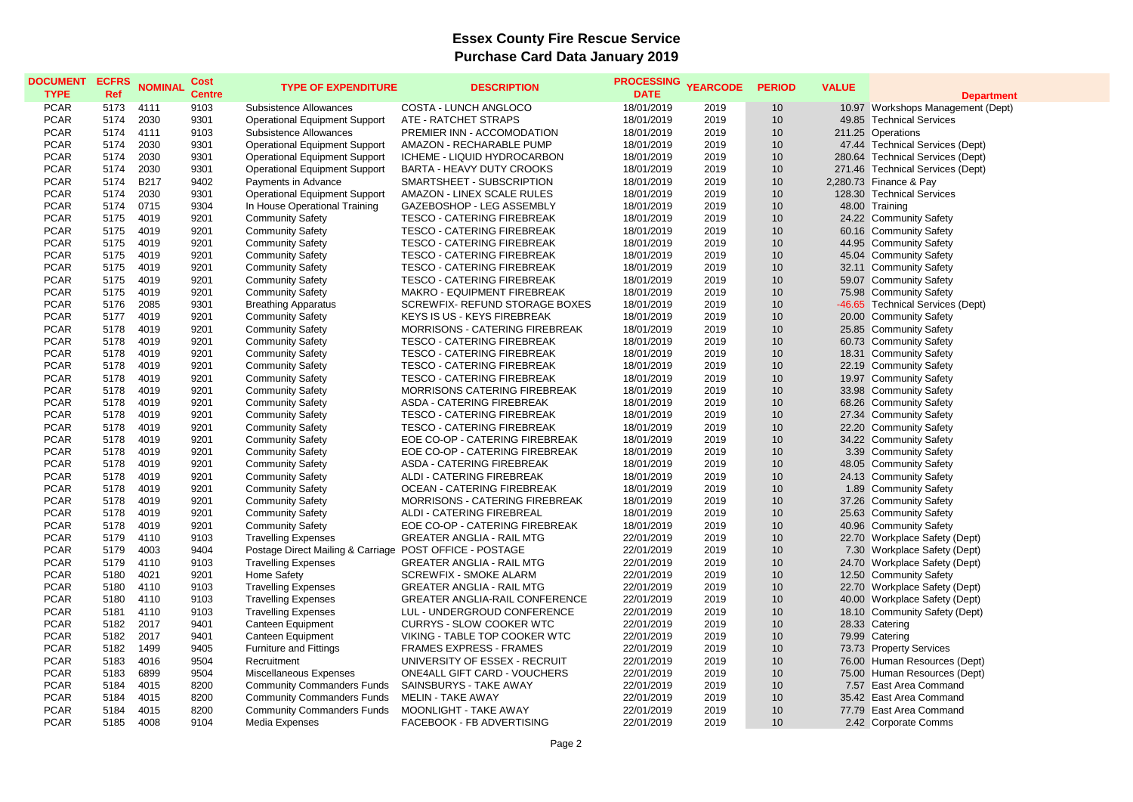## **Essex County Fire Rescue Service Purchase Card Data January 2019**

| <b>DOCUMENT</b><br><b>TYPE</b> | <b>ECFRS</b><br>Ref | <b>NOMINAL</b> | <b>Cost</b><br><b>Centre</b> | <b>TYPE OF EXPENDITURE</b>                              | <b>DESCRIPTION</b>                    | <b>PROCESSING</b><br><b>DATE</b> | <b>YEARCODE</b> | <b>PERIOD</b>   | <b>VALUE</b> | <b>Department</b>                 |
|--------------------------------|---------------------|----------------|------------------------------|---------------------------------------------------------|---------------------------------------|----------------------------------|-----------------|-----------------|--------------|-----------------------------------|
| <b>PCAR</b>                    | 5173                | 4111           | 9103                         | Subsistence Allowances                                  | COSTA - LUNCH ANGLOCO                 | 18/01/2019                       | 2019            | 10              |              | 10.97 Workshops Management (Dept) |
| <b>PCAR</b>                    | 5174                | 2030           | 9301                         | <b>Operational Equipment Support</b>                    | ATE - RATCHET STRAPS                  | 18/01/2019                       | 2019            | 10              |              | 49.85 Technical Services          |
| <b>PCAR</b>                    | 5174                | 4111           | 9103                         | Subsistence Allowances                                  | PREMIER INN - ACCOMODATION            | 18/01/2019                       | 2019            | 10              |              | 211.25 Operations                 |
| <b>PCAR</b>                    | 5174                | 2030           | 9301                         | <b>Operational Equipment Support</b>                    | AMAZON - RECHARABLE PUMP              | 18/01/2019                       | 2019            | 10              |              | 47.44 Technical Services (Dept)   |
| <b>PCAR</b>                    | 5174                | 2030           | 9301                         | <b>Operational Equipment Support</b>                    | ICHEME - LIQUID HYDROCARBON           | 18/01/2019                       | 2019            | 10 <sup>1</sup> |              | 280.64 Technical Services (Dept)  |
| <b>PCAR</b>                    | 5174                | 2030           | 9301                         | <b>Operational Equipment Support</b>                    | BARTA - HEAVY DUTY CROOKS             | 18/01/2019                       | 2019            | 10              |              | 271.46 Technical Services (Dept)  |
| <b>PCAR</b>                    | 5174                | B217           | 9402                         | Payments in Advance                                     | SMARTSHEET - SUBSCRIPTION             | 18/01/2019                       | 2019            | 10 <sup>1</sup> |              | 2,280.73 Finance & Pay            |
| <b>PCAR</b>                    | 5174                | 2030           | 9301                         | <b>Operational Equipment Support</b>                    | AMAZON - LINEX SCALE RULES            | 18/01/2019                       | 2019            | 10              |              | 128.30 Technical Services         |
| <b>PCAR</b>                    | 5174                | 0715           | 9304                         | In House Operational Training                           | GAZEBOSHOP - LEG ASSEMBLY             | 18/01/2019                       | 2019            | 10              |              | 48.00 Training                    |
| <b>PCAR</b>                    | 5175                | 4019           | 9201                         | <b>Community Safety</b>                                 | TESCO - CATERING FIREBREAK            | 18/01/2019                       | 2019            | 10 <sup>1</sup> |              | 24.22 Community Safety            |
| <b>PCAR</b>                    | 5175                | 4019           | 9201                         | <b>Community Safety</b>                                 | <b>TESCO - CATERING FIREBREAK</b>     | 18/01/2019                       | 2019            | 10              |              | 60.16 Community Safety            |
| <b>PCAR</b>                    | 5175                | 4019           | 9201                         | <b>Community Safety</b>                                 | <b>TESCO - CATERING FIREBREAK</b>     | 18/01/2019                       | 2019            | 10              |              | 44.95 Community Safety            |
| <b>PCAR</b>                    | 5175                | 4019           | 9201                         | <b>Community Safety</b>                                 | <b>TESCO - CATERING FIREBREAK</b>     | 18/01/2019                       | 2019            | 10              |              | 45.04 Community Safety            |
| <b>PCAR</b>                    | 5175                | 4019           | 9201                         | <b>Community Safety</b>                                 | <b>TESCO - CATERING FIREBREAK</b>     | 18/01/2019                       | 2019            | 10              |              | 32.11 Community Safety            |
| <b>PCAR</b>                    | 5175                | 4019           | 9201                         | <b>Community Safety</b>                                 | <b>TESCO - CATERING FIREBREAK</b>     | 18/01/2019                       | 2019            | 10              |              | 59.07 Community Safety            |
| <b>PCAR</b>                    | 5175                | 4019           | 9201                         | <b>Community Safety</b>                                 | MAKRO - EQUIPMENT FIREBREAK           | 18/01/2019                       | 2019            | 10              |              | 75.98 Community Safety            |
| <b>PCAR</b>                    | 5176                | 2085           | 9301                         | <b>Breathing Apparatus</b>                              | SCREWFIX- REFUND STORAGE BOXES        | 18/01/2019                       | 2019            | 10              |              | -46.65 Technical Services (Dept)  |
| <b>PCAR</b>                    | 5177                | 4019           | 9201                         | <b>Community Safety</b>                                 | <b>KEYS IS US - KEYS FIREBREAK</b>    | 18/01/2019                       | 2019            | 10              |              | 20.00 Community Safety            |
| <b>PCAR</b>                    | 5178                | 4019           | 9201                         | <b>Community Safety</b>                                 | <b>MORRISONS - CATERING FIREBREAK</b> | 18/01/2019                       | 2019            | 10              |              | 25.85 Community Safety            |
| <b>PCAR</b>                    | 5178                | 4019           | 9201                         | <b>Community Safety</b>                                 | <b>TESCO - CATERING FIREBREAK</b>     | 18/01/2019                       | 2019            | 10              |              | 60.73 Community Safety            |
| <b>PCAR</b>                    | 5178                | 4019           | 9201                         | <b>Community Safety</b>                                 | <b>TESCO - CATERING FIREBREAK</b>     | 18/01/2019                       | 2019            | 10              |              | 18.31 Community Safety            |
| <b>PCAR</b>                    | 5178                | 4019           | 9201                         | <b>Community Safety</b>                                 | <b>TESCO - CATERING FIREBREAK</b>     | 18/01/2019                       | 2019            | 10              |              | 22.19 Community Safety            |
| <b>PCAR</b>                    | 5178                | 4019           | 9201                         | <b>Community Safety</b>                                 | <b>TESCO - CATERING FIREBREAK</b>     | 18/01/2019                       | 2019            | 10              |              | 19.97 Community Safety            |
| <b>PCAR</b>                    | 5178                | 4019           | 9201                         | <b>Community Safety</b>                                 | <b>MORRISONS CATERING FIREBREAK</b>   | 18/01/2019                       | 2019            | 10              |              | 33.98 Community Safety            |
| <b>PCAR</b>                    | 5178                | 4019           | 9201                         | <b>Community Safety</b>                                 | ASDA - CATERING FIREBREAK             | 18/01/2019                       | 2019            | 10 <sup>1</sup> |              | 68.26 Community Safety            |
| <b>PCAR</b>                    | 5178                | 4019           | 9201                         | <b>Community Safety</b>                                 | <b>TESCO - CATERING FIREBREAK</b>     | 18/01/2019                       | 2019            | 10              |              | 27.34 Community Safety            |
| <b>PCAR</b>                    | 5178                | 4019           | 9201                         | <b>Community Safety</b>                                 | <b>TESCO - CATERING FIREBREAK</b>     | 18/01/2019                       | 2019            | 10              |              | 22.20 Community Safety            |
| <b>PCAR</b>                    | 5178                | 4019           | 9201                         | <b>Community Safety</b>                                 | EOE CO-OP - CATERING FIREBREAK        | 18/01/2019                       | 2019            | 10              |              | 34.22 Community Safety            |
| <b>PCAR</b>                    | 5178                | 4019           | 9201                         | <b>Community Safety</b>                                 | EOE CO-OP - CATERING FIREBREAK        | 18/01/2019                       | 2019            | 10              |              | 3.39 Community Safety             |
| <b>PCAR</b>                    | 5178                | 4019           | 9201                         | <b>Community Safety</b>                                 | ASDA - CATERING FIREBREAK             | 18/01/2019                       | 2019            | 10              |              | 48.05 Community Safety            |
| <b>PCAR</b>                    | 5178                | 4019           | 9201                         | <b>Community Safety</b>                                 | ALDI - CATERING FIREBREAK             | 18/01/2019                       | 2019            | 10 <sup>1</sup> |              | 24.13 Community Safety            |
| <b>PCAR</b>                    | 5178                | 4019           | 9201                         | <b>Community Safety</b>                                 | OCEAN - CATERING FIREBREAK            | 18/01/2019                       | 2019            | 10 <sup>1</sup> |              | 1.89 Community Safety             |
| <b>PCAR</b>                    | 5178                | 4019           | 9201                         | <b>Community Safety</b>                                 | <b>MORRISONS - CATERING FIREBREAK</b> | 18/01/2019                       | 2019            | 10              |              | 37.26 Community Safety            |
| <b>PCAR</b>                    | 5178                | 4019           | 9201                         | <b>Community Safety</b>                                 | ALDI - CATERING FIREBREAL             | 18/01/2019                       | 2019            | 10 <sup>1</sup> |              | 25.63 Community Safety            |
| <b>PCAR</b>                    | 5178                | 4019           | 9201                         | <b>Community Safety</b>                                 | EOE CO-OP - CATERING FIREBREAK        | 18/01/2019                       | 2019            | 10              |              | 40.96 Community Safety            |
| <b>PCAR</b>                    | 5179                | 4110           | 9103                         | <b>Travelling Expenses</b>                              | <b>GREATER ANGLIA - RAIL MTG</b>      | 22/01/2019                       | 2019            | 10              |              | 22.70 Workplace Safety (Dept)     |
| <b>PCAR</b>                    | 5179                | 4003           | 9404                         | Postage Direct Mailing & Carriage POST OFFICE - POSTAGE |                                       | 22/01/2019                       | 2019            | 10              |              | 7.30 Workplace Safety (Dept)      |
| <b>PCAR</b>                    | 5179                | 4110           | 9103                         | <b>Travelling Expenses</b>                              | <b>GREATER ANGLIA - RAIL MTG</b>      | 22/01/2019                       | 2019            | 10              |              | 24.70 Workplace Safety (Dept)     |
| <b>PCAR</b>                    | 5180                | 4021           | 9201                         | Home Safety                                             | <b>SCREWFIX - SMOKE ALARM</b>         | 22/01/2019                       | 2019            | 10              |              | 12.50 Community Safety            |
| <b>PCAR</b>                    | 5180                | 4110           | 9103                         | <b>Travelling Expenses</b>                              | <b>GREATER ANGLIA - RAIL MTG</b>      | 22/01/2019                       | 2019            | 10              |              | 22.70 Workplace Safety (Dept)     |
| <b>PCAR</b>                    | 5180                | 4110           | 9103                         | <b>Travelling Expenses</b>                              | GREATER ANGLIA-RAIL CONFERENCE        | 22/01/2019                       | 2019            | 10              |              | 40.00 Workplace Safety (Dept)     |
| <b>PCAR</b>                    | 5181                | 4110           | 9103                         | <b>Travelling Expenses</b>                              | LUL - UNDERGROUD CONFERENCE           | 22/01/2019                       | 2019            | 10              |              | 18.10 Community Safety (Dept)     |
| <b>PCAR</b>                    | 5182                | 2017           | 9401                         | Canteen Equipment                                       | <b>CURRYS - SLOW COOKER WTC</b>       | 22/01/2019                       | 2019            | 10              |              | 28.33 Catering                    |
| <b>PCAR</b>                    | 5182                | 2017           | 9401                         | Canteen Equipment                                       | VIKING - TABLE TOP COOKER WTC         | 22/01/2019                       | 2019            | 10              |              | 79.99 Catering                    |
| <b>PCAR</b>                    | 5182                | 1499           | 9405                         | <b>Furniture and Fittings</b>                           | <b>FRAMES EXPRESS - FRAMES</b>        | 22/01/2019                       | 2019            | 10              |              | 73.73 Property Services           |
| <b>PCAR</b>                    | 5183                | 4016           | 9504                         | Recruitment                                             | UNIVERSITY OF ESSEX - RECRUIT         | 22/01/2019                       | 2019            | 10              |              | 76.00 Human Resources (Dept)      |
| <b>PCAR</b>                    | 5183                | 6899           | 9504                         | Miscellaneous Expenses                                  | ONE4ALL GIFT CARD - VOUCHERS          | 22/01/2019                       | 2019            | 10 <sup>°</sup> |              | 75.00 Human Resources (Dept)      |
| <b>PCAR</b>                    | 5184                | 4015           | 8200                         | <b>Community Commanders Funds</b>                       | SAINSBURYS - TAKE AWAY                | 22/01/2019                       | 2019            | 10              |              | 7.57 East Area Command            |
| <b>PCAR</b>                    | 5184                | 4015           | 8200                         | <b>Community Commanders Funds</b>                       | <b>MELIN - TAKE AWAY</b>              | 22/01/2019                       | 2019            | 10              |              | 35.42 East Area Command           |
| <b>PCAR</b>                    | 5184                | 4015           | 8200                         | <b>Community Commanders Funds</b>                       | <b>MOONLIGHT - TAKE AWAY</b>          | 22/01/2019                       | 2019            | 10              |              | 77.79 East Area Command           |
| <b>PCAR</b>                    | 5185                | 4008           | 9104                         | Media Expenses                                          | FACEBOOK - FB ADVERTISING             | 22/01/2019                       | 2019            | 10              |              | 2.42 Corporate Comms              |